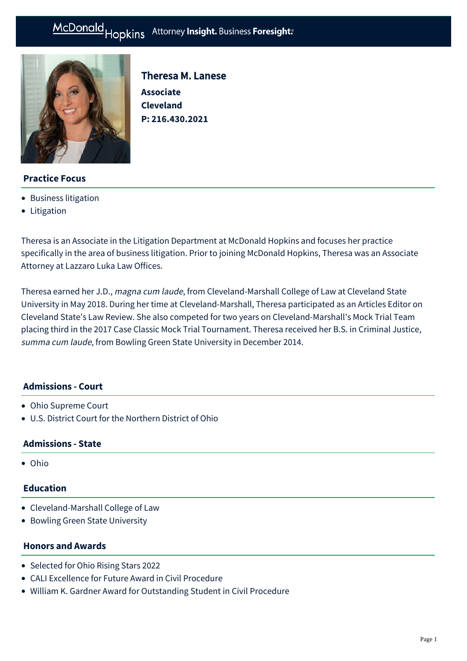

Theresa M. Lanese **Associate Cleveland P: [216.430.2021](tel:216.430.2021)**

# **Practice Focus**

- [Business litigation](https://mcdonaldhopkins.com/Expertise/Litigation/Business-litigation)
- [Litigation](https://mcdonaldhopkins.com/Expertise/Litigation)

Theresa is an Associate in the Litigation Department at McDonald Hopkins and focuses her practice specifically in the area of business litigation. Prior to joining McDonald Hopkins, Theresa was an Associate Attorney at Lazzaro Luka Law Offices.

Theresa earned her J.D., magna cum laude, from Cleveland-Marshall College of Law at Cleveland State University in May 2018. During her time at Cleveland-Marshall, Theresa participated as an Articles Editor on Cleveland State's Law Review. She also competed for two years on Cleveland-Marshall's Mock Trial Team placing third in the 2017 Case Classic Mock Trial Tournament. Theresa received her B.S. in Criminal Justice, summa cum laude, from Bowling Green State University in December 2014.

## **Admissions - Court**

- Ohio Supreme Court
- U.S. District Court for the Northern District of Ohio

## **Admissions - State**

Ohio

## **Education**

- Cleveland-Marshall College of Law
- Bowling Green State University

## **Honors and Awards**

- Selected for Ohio Rising Stars 2022
- CALI Excellence for Future Award in Civil Procedure
- William K. Gardner Award for Outstanding Student in Civil Procedure